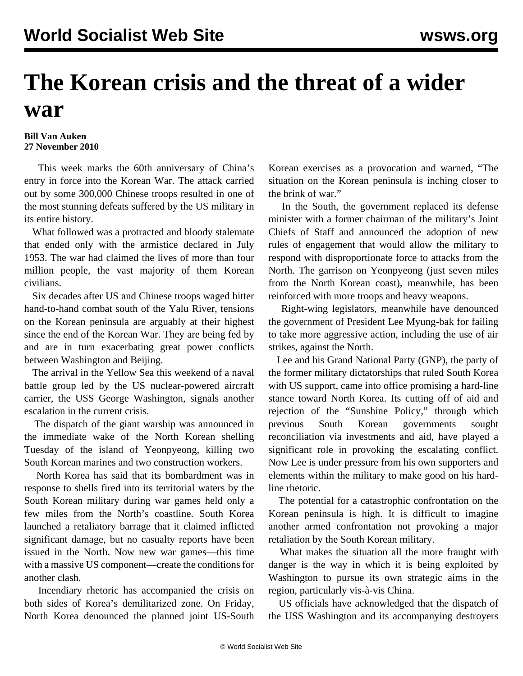## **The Korean crisis and the threat of a wider war**

## **Bill Van Auken 27 November 2010**

 This week marks the 60th anniversary of China's entry in force into the Korean War. The attack carried out by some 300,000 Chinese troops resulted in one of the most stunning defeats suffered by the US military in its entire history.

 What followed was a protracted and bloody stalemate that ended only with the armistice declared in July 1953. The war had claimed the lives of more than four million people, the vast majority of them Korean civilians.

 Six decades after US and Chinese troops waged bitter hand-to-hand combat south of the Yalu River, tensions on the Korean peninsula are arguably at their highest since the end of the Korean War. They are being fed by and are in turn exacerbating great power conflicts between Washington and Beijing.

 The arrival in the Yellow Sea this weekend of a naval battle group led by the US nuclear-powered aircraft carrier, the USS George Washington, signals another escalation in the current crisis.

 The dispatch of the giant warship was announced in the immediate wake of the North Korean shelling Tuesday of the island of Yeonpyeong, killing two South Korean marines and two construction workers.

 North Korea has said that its bombardment was in response to shells fired into its territorial waters by the South Korean military during war games held only a few miles from the North's coastline. South Korea launched a retaliatory barrage that it claimed inflicted significant damage, but no casualty reports have been issued in the North. Now new war games—this time with a massive US component—create the conditions for another clash.

 Incendiary rhetoric has accompanied the crisis on both sides of Korea's demilitarized zone. On Friday, North Korea denounced the planned joint US-South Korean exercises as a provocation and warned, "The situation on the Korean peninsula is inching closer to the brink of war."

 In the South, the government replaced its defense minister with a former chairman of the military's Joint Chiefs of Staff and announced the adoption of new rules of engagement that would allow the military to respond with disproportionate force to attacks from the North. The garrison on Yeonpyeong (just seven miles from the North Korean coast), meanwhile, has been reinforced with more troops and heavy weapons.

 Right-wing legislators, meanwhile have denounced the government of President Lee Myung-bak for failing to take more aggressive action, including the use of air strikes, against the North.

 Lee and his Grand National Party (GNP), the party of the former military dictatorships that ruled South Korea with US support, came into office promising a hard-line stance toward North Korea. Its cutting off of aid and rejection of the "Sunshine Policy," through which previous South Korean governments sought reconciliation via investments and aid, have played a significant role in provoking the escalating conflict. Now Lee is under pressure from his own supporters and elements within the military to make good on his hardline rhetoric.

 The potential for a catastrophic confrontation on the Korean peninsula is high. It is difficult to imagine another armed confrontation not provoking a major retaliation by the South Korean military.

 What makes the situation all the more fraught with danger is the way in which it is being exploited by Washington to pursue its own strategic aims in the region, particularly vis-à-vis China.

 US officials have acknowledged that the dispatch of the USS Washington and its accompanying destroyers